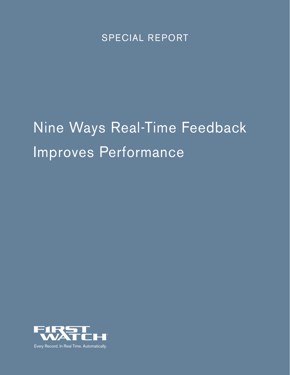SPECIAL REPORT

# Nine Ways Real-Time Feedback Improves Performance

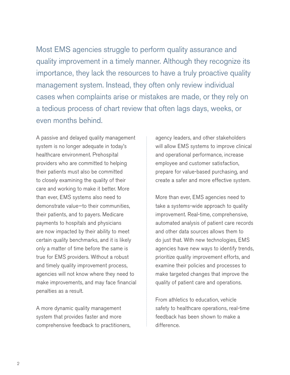Most EMS agencies struggle to perform quality assurance and quality improvement in a timely manner. Although they recognize its importance, they lack the resources to have a truly proactive quality management system. Instead, they often only review individual cases when complaints arise or mistakes are made, or they rely on a tedious process of chart review that often lags days, weeks, or even months behind.

A passive and delayed quality management system is no longer adequate in today's healthcare environment. Prehospital providers who are committed to helping their patients must also be committed to closely examining the quality of their care and working to make it better. More than ever, EMS systems also need to demonstrate value—to their communities, their patients, and to payers. Medicare payments to hospitals and physicians are now impacted by their ability to meet certain quality benchmarks, and it is likely only a matter of time before the same is true for EMS providers. Without a robust and timely quality improvement process, agencies will not know where they need to make improvements, and may face financial penalties as a result.

A more dynamic quality management system that provides faster and more comprehensive feedback to practitioners, agency leaders, and other stakeholders will allow EMS systems to improve clinical and operational performance, increase employee and customer satisfaction, prepare for value-based purchasing, and create a safer and more effective system.

More than ever, EMS agencies need to take a systems-wide approach to quality improvement. Real-time, comprehensive, automated analysis of patient care records and other data sources allows them to do just that. With new technologies, EMS agencies have new ways to identify trends, prioritize quality improvement efforts, and examine their policies and processes to make targeted changes that improve the quality of patient care and operations.

From athletics to education, vehicle safety to healthcare operations, real-time feedback has been shown to make a difference.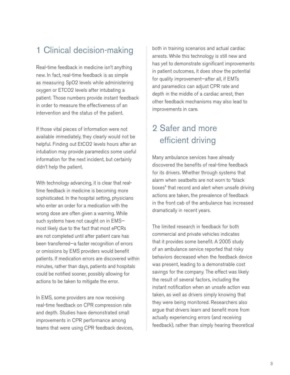#### 1 Clinical decision-making

Real-time feedback in medicine isn't anything new. In fact, real-time feedback is as simple as measuring SpO2 levels while administering oxygen or ETCO2 levels after intubating a patient. Those numbers provide instant feedback in order to measure the effectiveness of an intervention and the status of the patient.

If those vital pieces of information were not available immediately, they clearly would not be helpful. Finding out EtCO2 levels hours after an intubation may provide paramedics some useful information for the next incident, but certainly didn't help the patient.

With technology advancing, it is clear that realtime feedback in medicine is becoming more sophisticated. In the hospital setting, physicians who enter an order for a medication with the wrong dose are often given a warning. While such systems have not caught on in EMS most likely due to the fact that most ePCRs are not completed until after patient care has been transferred—a faster recognition of errors or omissions by EMS providers would benefit patients. If medication errors are discovered within minutes, rather than days, patients and hospitals could be notified sooner, possibly allowing for actions to be taken to mitigate the error.

In EMS, some providers are now receiving real-time feedback on CPR compression rate and depth. Studies have demonstrated small improvements in CPR performance among teams that were using CPR feedback devices, both in training scenarios and actual cardiac arrests. While this technology is still new and has yet to demonstrate significant improvements in patient outcomes, it does show the potential for quality improvement—after all, if EMTs and paramedics can adjust CPR rate and depth in the middle of a cardiac arrest, then other feedback mechanisms may also lead to improvements in care.

### 2 Safer and more efficient driving

Many ambulance services have already discovered the benefits of real-time feedback for its drivers. Whether through systems that alarm when seatbelts are not worn to "black boxes" that record and alert when unsafe driving actions are taken, the prevalence of feedback in the front cab of the ambulance has increased dramatically in recent years.

The limited research in feedback for both commercial and private vehicles indicates that it provides some benefit. A 2005 study of an ambulance service reported that risky behaviors decreased when the feedback device was present, leading to a demonstrable cost savings for the company. The effect was likely the result of several factors, including the instant notification when an unsafe action was taken, as well as drivers simply knowing that they were being monitored. Researchers also argue that drivers learn and benefit more from actually experiencing errors (and receiving feedback), rather than simply hearing theoretical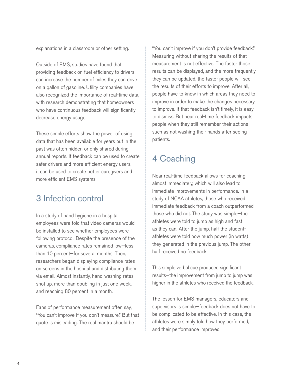explanations in a classroom or other setting.

Outside of EMS, studies have found that providing feedback on fuel efficiency to drivers can increase the number of miles they can drive on a gallon of gasoline. Utility companies have also recognized the importance of real-time data, with research demonstrating that homeowners who have continuous feedback will significantly decrease energy usage.

These simple efforts show the power of using data that has been available for years but in the past was often hidden or only shared during annual reports. If feedback can be used to create safer drivers and more efficient energy users, it can be used to create better caregivers and more efficient EMS systems.

#### 3 Infection control

In a study of hand hygiene in a hospital, employees were told that video cameras would be installed to see whether employees were following protocol. Despite the presence of the cameras, compliance rates remained low—less than 10 percent—for several months. Then, researchers began displaying compliance rates on screens in the hospital and distributing them via email. Almost instantly, hand-washing rates shot up, more than doubling in just one week, and reaching 80 percent in a month.

Fans of performance measurement often say, "You can't improve if you don't measure." But that quote is misleading. The real mantra should be

"You can't improve if you don't provide feedback." Measuring without sharing the results of that measurement is not effective. The faster those results can be displayed, and the more frequently they can be updated, the faster people will see the results of their efforts to improve. After all, people have to know in which areas they need to improve in order to make the changes necessary to improve. If that feedback isn't timely, it is easy to dismiss. But near real-time feedback impacts people when they still remember their actions such as not washing their hands after seeing patients.

## 4 Coaching

Near real-time feedback allows for coaching almost immediately, which will also lead to immediate improvements in performance. In a study of NCAA athletes, those who received immediate feedback from a coach outperformed those who did not. The study was simple—the athletes were told to jump as high and fast as they can. After the jump, half the studentathletes were told how much power (in watts) they generated in the previous jump. The other half received no feedback.

This simple verbal cue produced significant results—the improvement from jump to jump was higher in the athletes who received the feedback.

The lesson for EMS managers, educators and supervisors is simple—feedback does not have to be complicated to be effective. In this case, the athletes were simply told how they performed, and their performance improved.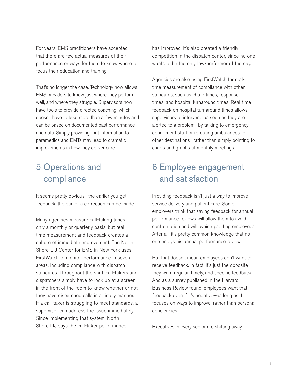For years, EMS practitioners have accepted that there are few actual measures of their performance or ways for them to know where to focus their education and training

That's no longer the case. Technology now allows EMS providers to know just where they perform well, and where they struggle. Supervisors now have tools to provide directed coaching, which doesn't have to take more than a few minutes and can be based on documented past performance and data. Simply providing that information to paramedics and EMTs may lead to dramatic improvements in how they deliver care.

#### 5 Operations and compliance

It seems pretty obvious—the earlier you get feedback, the earlier a correction can be made.

Many agencies measure call-taking times only a monthly or quarterly basis, but realtime measurement and feedback creates a culture of immediate improvement. The North Shore-LIJ Center for EMS in New York uses FirstWatch to monitor performance in several areas, including compliance with dispatch standards. Throughout the shift, call-takers and dispatchers simply have to look up at a screen in the front of the room to know whether or not they have dispatched calls in a timely manner. If a call-taker is struggling to meet standards, a supervisor can address the issue immediately. Since implementing that system, North-Shore LIJ says the call-taker performance

has improved. It's also created a friendly competition in the dispatch center, since no one wants to be the only low-performer of the day.

Agencies are also using FirstWatch for realtime measurement of compliance with other standards, such as chute times, response times, and hospital turnaround times. Real-time feedback on hospital turnaround times allows supervisors to intervene as soon as they are alerted to a problem—by talking to emergency department staff or rerouting ambulances to other destinations—rather than simply pointing to charts and graphs at monthly meetings.

#### 6 Employee engagement and satisfaction

Providing feedback isn't just a way to improve service delivery and patient care. Some employers think that saving feedback for annual performance reviews will allow them to avoid confrontation and will avoid upsetting employees. After all, it's pretty common knowledge that no one enjoys his annual performance review.

But that doesn't mean employees don't want to receive feedback. In fact, it's just the opposite they want regular, timely, and specific feedback. And as a survey published in the Harvard Business Review found, employees want that feedback even if it's negative—as long as it focuses on ways to improve, rather than personal deficiencies.

Executives in every sector are shifting away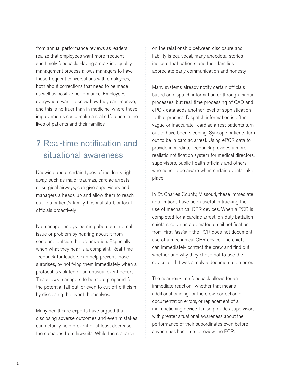from annual performance reviews as leaders realize that employees want more frequent and timely feedback. Having a real-time quality management process allows managers to have those frequent conversations with employees, both about corrections that need to be made as well as positive performance. Employees everywhere want to know how they can improve, and this is no truer than in medicine, where those improvements could make a real difference in the lives of patients and their families.

## 7 Real-time notification and situational awareness

Knowing about certain types of incidents right away, such as major traumas, cardiac arrests, or surgical airways, can give supervisors and managers a heads-up and allow them to reach out to a patient's family, hospital staff, or local officials proactively.

No manager enjoys learning about an internal issue or problem by hearing about it from someone outside the organization. Especially when what they hear is a complaint. Real-time feedback for leaders can help prevent those surprises, by notifying them immediately when a protocol is violated or an unusual event occurs. This allows managers to be more prepared for the potential fall-out, or even to cut-off criticism by disclosing the event themselves.

Many healthcare experts have argued that disclosing adverse outcomes and even mistakes can actually help prevent or at least decrease the damages from lawsuits. While the research

on the relationship between disclosure and liability is equivocal, many anecdotal stories indicate that patients and their families appreciate early communication and honesty.

Many systems already notify certain officials based on dispatch information or through manual processes, but real-time processing of CAD and ePCR data adds another level of sophistication to that process. Dispatch information is often vague or inaccurate—cardiac arrest patients turn out to have been sleeping. Syncope patients turn out to be in cardiac arrest. Using ePCR data to provide immediate feedback provides a more realistic notification system for medical directors, supervisors, public health officials and others who need to be aware when certain events take place.

In St. Charles County, Missouri, these immediate notifications have been useful in tracking the use of mechanical CPR devices. When a PCR is completed for a cardiac arrest, on-duty battalion chiefs receive an automated email notification from FirstPass® if the PCR does not document use of a mechanical CPR device. The chiefs can immediately contact the crew and find out whether and why they chose not to use the device, or if it was simply a documentation error.

The near real-time feedback allows for an immediate reaction—whether that means additional training for the crew, correction of documentation errors, or replacement of a malfunctioning device. It also provides supervisors with greater situational awareness about the performance of their subordinates even before anyone has had time to review the PCR.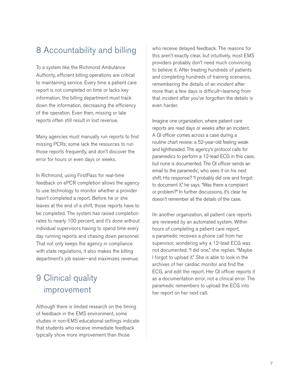#### 8 Accountability and billing

To a system like the Richmond Ambulance Authority, efficient billing operations are critical to maintaining service. Every time a patient care report is not completed on time or lacks key information, the billing department must track down the information, decreasing the efficiency of the operation. Even then, missing or late reports often still result in lost revenue.

Many agencies must manually run reports to find missing PCRs; some lack the resources to run those reports frequently, and don't discover the error for hours or even days or weeks.

In Richmond, using FirstPass for real-time feedback on ePCR completion allows the agency to use technology to monitor whether a provider hasn't completed a report. Before he or she leaves at the end of a shift, those reports have to be completed. The system has raised completion rates to nearly 100 percent, and it's done without individual supervisors having to spend time every day running reports and chasing down personnel. That not only keeps the agency in compliance with state regulations, it also makes the billing department's job easier—and maximizes revenue.

### 9 Clinical quality improvement

Although there is limited research on the timing of feedback in the EMS environment, some studies in non-EMS educational settings indicate that students who receive immediate feedback typically show more improvement than those

who receive delayed feedback. The reasons for this aren't exactly clear, but intuitively, most EMS providers probably don't need much convincing to believe it. After treating hundreds of patients and completing hundreds of training scenarios, remembering the details of an incident after more than a few days is difficult—learning from that incident after you've forgotten the details is even harder.

Imagine one organization, where patient care reports are read days or weeks after an incident. A QI officer comes across a case during a routine chart review: a 52-year-old feeling weak and lightheaded. The agency's protocol calls for paramedics to perform a 12-lead ECG in this case, but none is documented. The QI officer sends an email to the paramedic, who sees it on his next shift. His response? "I probably did one and forgot to document it," he says. "Was there a complaint or problem?" In further discussions, it's clear he doesn't remember all the details of the case.

IIn another organization, all patient care reports are reviewed by an automated system. Within hours of completing a patient care report, a paramedic receives a phone call from her supervisor, wondering why a 12-lead ECG was not documented. "I did one," she replies. "Maybe I forgot to upload it." She is able to look in the archives of her cardiac monitor and find the ECG, and edit the report. Her QI officer reports it as a documentation error, not a clinical error. The paramedic remembers to upload the ECG into her report on her next call.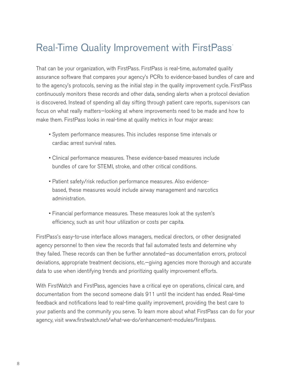# Real-Time Quality Improvement with FirstPass®

That can be your organization, with FirstPass. FirstPass is real-time, automated quality assurance software that compares your agency's PCRs to evidence-based bundles of care and to the agency's protocols, serving as the initial step in the quality improvement cycle. FirstPass continuously monitors these records and other data, sending alerts when a protocol deviation is discovered. Instead of spending all day sifting through patient care reports, supervisors can focus on what really matters—looking at where improvements need to be made and how to make them. FirstPass looks in real-time at quality metrics in four major areas:

- System performance measures. This includes response time intervals or cardiac arrest survival rates.
- Clinical performance measures. These evidence-based measures include bundles of care for STEMI, stroke, and other critical conditions.
- Patient safety/risk reduction performance measures. Also evidencebased, these measures would include airway management and narcotics administration.
- Financial performance measures. These measures look at the system's efficiency, such as unit hour utilization or costs per capita.

FirstPass's easy-to-use interface allows managers, medical directors, or other designated agency personnel to then view the records that fail automated tests and determine why they failed. These records can then be further annotated—as documentation errors, protocol deviations, appropriate treatment decisions, etc.—giving agencies more thorough and accurate data to use when identifying trends and prioritizing quality improvement efforts.

With FirstWatch and FirstPass, agencies have a critical eye on operations, clinical care, and documentation from the second someone dials 911 until the incident has ended. Real-time feedback and notifications lead to real-time quality improvement, providing the best care to your patients and the community you serve. To learn more about what FirstPass can do for your agency, visit www.firstwatch.net/what-we-do/enhancement-modules/firstpass.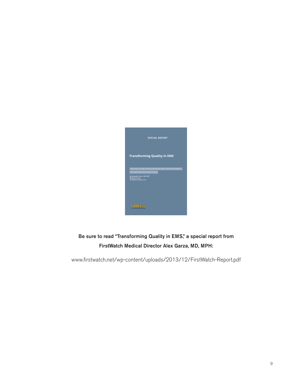

Be sure to read "Transforming Quality in EMS," a special report from FirstWatch Medical Director Alex Garza, MD, MPH:

www.firstwatch.net/wp-content/uploads/2013/12/FirstWatch-Report.pdf